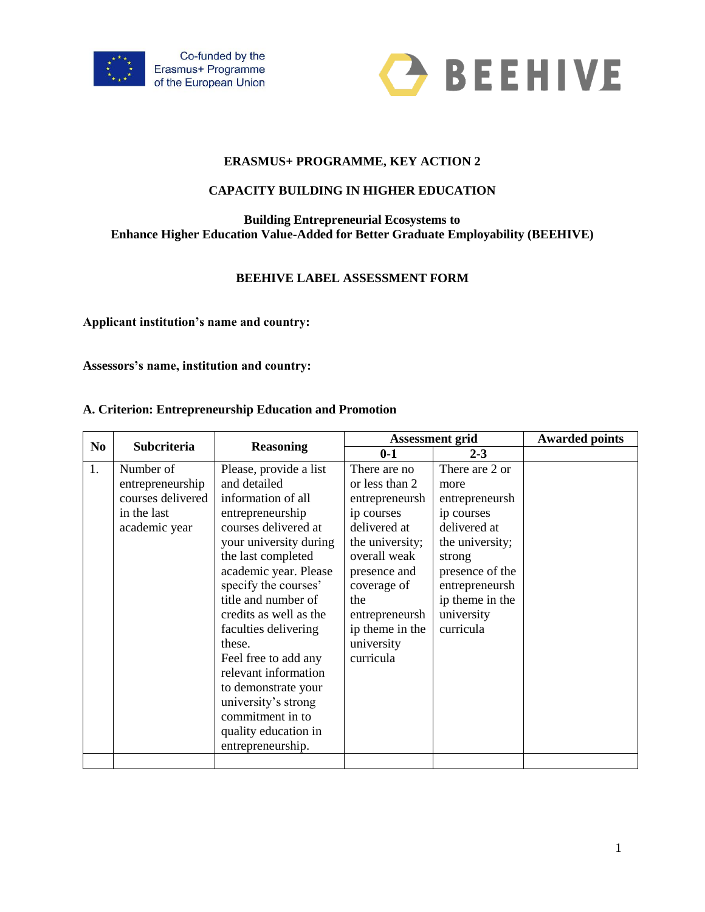



# **ERASMUS+ PROGRAMME, KEY ACTION 2**

# **CAPACITY BUILDING IN HIGHER EDUCATION**

### **Building Entrepreneurial Ecosystems to Enhance Higher Education Value-Added for Better Graduate Employability (BEEHIVE)**

# **BEEHIVE LABEL ASSESSMENT FORM**

**Applicant institution's name and country:**

**Assessors's name, institution and country:**

### **A. Criterion: Entrepreneurship Education and Promotion**

|                | Subcriteria                                                                        |                                                                                                                                                                                                                                                                                                                                                                                                                                                             | <b>Assessment grid</b>                                                                                                                                                                                                  | <b>Awarded points</b>                                                                                                                                                                  |  |
|----------------|------------------------------------------------------------------------------------|-------------------------------------------------------------------------------------------------------------------------------------------------------------------------------------------------------------------------------------------------------------------------------------------------------------------------------------------------------------------------------------------------------------------------------------------------------------|-------------------------------------------------------------------------------------------------------------------------------------------------------------------------------------------------------------------------|----------------------------------------------------------------------------------------------------------------------------------------------------------------------------------------|--|
| N <sub>0</sub> |                                                                                    | <b>Reasoning</b>                                                                                                                                                                                                                                                                                                                                                                                                                                            | $0 - 1$                                                                                                                                                                                                                 | $2 - 3$                                                                                                                                                                                |  |
| 1.             | Number of<br>entrepreneurship<br>courses delivered<br>in the last<br>academic year | Please, provide a list<br>and detailed<br>information of all<br>entrepreneurship<br>courses delivered at<br>your university during<br>the last completed<br>academic year. Please<br>specify the courses'<br>title and number of<br>credits as well as the<br>faculties delivering<br>these.<br>Feel free to add any<br>relevant information<br>to demonstrate your<br>university's strong<br>commitment in to<br>quality education in<br>entrepreneurship. | There are no<br>or less than 2<br>entrepreneursh<br>ip courses<br>delivered at<br>the university;<br>overall weak<br>presence and<br>coverage of<br>the<br>entrepreneursh<br>ip theme in the<br>university<br>curricula | There are 2 or<br>more<br>entrepreneursh<br>ip courses<br>delivered at<br>the university;<br>strong<br>presence of the<br>entrepreneursh<br>ip theme in the<br>university<br>curricula |  |
|                |                                                                                    |                                                                                                                                                                                                                                                                                                                                                                                                                                                             |                                                                                                                                                                                                                         |                                                                                                                                                                                        |  |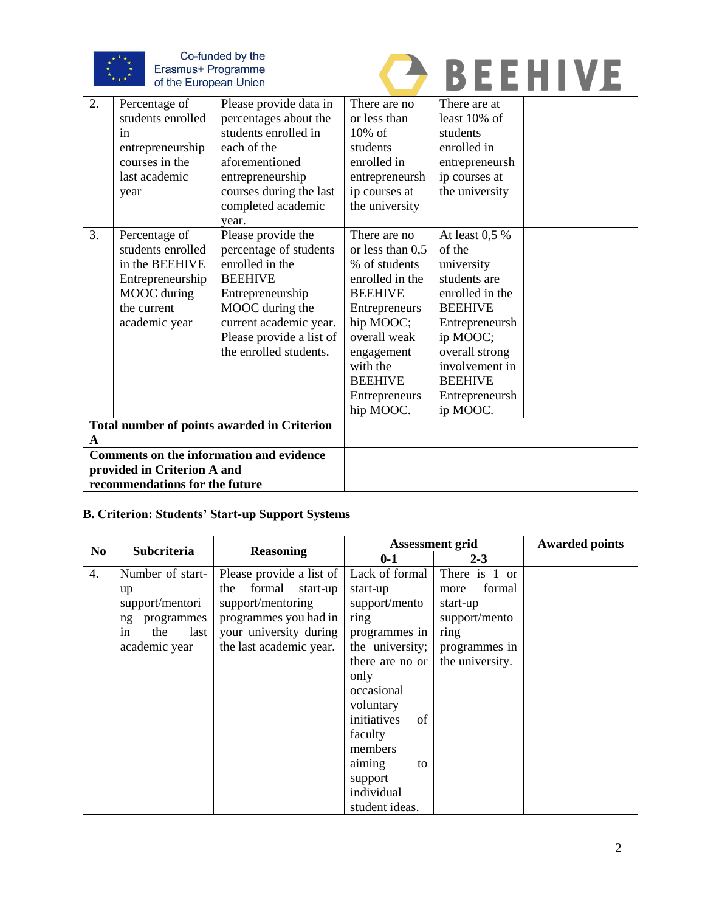

Co-funded by the Erasmus+ Programme<br>of the European Union



| 2.                                                 | Percentage of     | Please provide data in   | There are no       | There are at    |  |
|----------------------------------------------------|-------------------|--------------------------|--------------------|-----------------|--|
|                                                    | students enrolled | percentages about the    | or less than       | least $10\%$ of |  |
|                                                    | in                | students enrolled in     | $10\%$ of          | students        |  |
|                                                    | entrepreneurship  | each of the              | students           | enrolled in     |  |
|                                                    | courses in the    | aforementioned           | enrolled in        | entrepreneursh  |  |
|                                                    | last academic     | entrepreneurship         | entrepreneursh     | ip courses at   |  |
|                                                    | year              | courses during the last  | ip courses at      | the university  |  |
|                                                    |                   | completed academic       | the university     |                 |  |
|                                                    |                   | year.                    |                    |                 |  |
| 3.                                                 | Percentage of     | Please provide the       | There are no       | At least $0.5%$ |  |
|                                                    | students enrolled | percentage of students   | or less than $0,5$ | of the          |  |
|                                                    | in the BEEHIVE    | enrolled in the          | % of students      | university      |  |
|                                                    | Entrepreneurship  | <b>BEEHIVE</b>           | enrolled in the    | students are    |  |
|                                                    | MOOC during       | Entrepreneurship         | <b>BEEHIVE</b>     | enrolled in the |  |
|                                                    | the current       | MOOC during the          | Entrepreneurs      | <b>BEEHIVE</b>  |  |
|                                                    | academic year     | current academic year.   | hip MOOC;          | Entrepreneursh  |  |
|                                                    |                   | Please provide a list of | overall weak       | ip MOOC;        |  |
|                                                    |                   | the enrolled students.   | engagement         | overall strong  |  |
|                                                    |                   |                          | with the           | involvement in  |  |
|                                                    |                   |                          | <b>BEEHIVE</b>     | <b>BEEHIVE</b>  |  |
|                                                    |                   |                          | Entrepreneurs      | Entrepreneursh  |  |
|                                                    |                   |                          | hip MOOC.          | ip MOOC.        |  |
| <b>Total number of points awarded in Criterion</b> |                   |                          |                    |                 |  |
| A                                                  |                   |                          |                    |                 |  |
| <b>Comments on the information and evidence</b>    |                   |                          |                    |                 |  |
| provided in Criterion A and                        |                   |                          |                    |                 |  |
| recommendations for the future                     |                   |                          |                    |                 |  |

# **B. Criterion: Students' Start-up Support Systems**

|                  | <b>Subcriteria</b><br>No | <b>Reasoning</b>          | <b>Assessment grid</b> | <b>Awarded points</b> |  |
|------------------|--------------------------|---------------------------|------------------------|-----------------------|--|
|                  |                          |                           | $0 - 1$                | $2 - 3$               |  |
| $\overline{4}$ . | Number of start-         | Please provide a list of  | Lack of formal         | There is 1 or         |  |
|                  | up                       | formal<br>start-up<br>the | start-up               | formal<br>more        |  |
|                  | support/mentori          | support/mentoring         | support/mento          | start-up              |  |
|                  | programmes<br>ng         | programmes you had in     | ring                   | support/mento         |  |
|                  | last<br>the<br>in        | your university during    | programmes in          | ring                  |  |
|                  | academic year            | the last academic year.   | the university;        | programmes in         |  |
|                  |                          |                           | there are no or        | the university.       |  |
|                  |                          |                           | only                   |                       |  |
|                  |                          |                           | occasional             |                       |  |
|                  |                          |                           | voluntary              |                       |  |
|                  |                          |                           | initiatives<br>of      |                       |  |
|                  |                          |                           | faculty                |                       |  |
|                  |                          |                           | members                |                       |  |
|                  |                          |                           | aiming<br>to           |                       |  |
|                  |                          |                           | support                |                       |  |
|                  |                          |                           | individual             |                       |  |
|                  |                          |                           | student ideas.         |                       |  |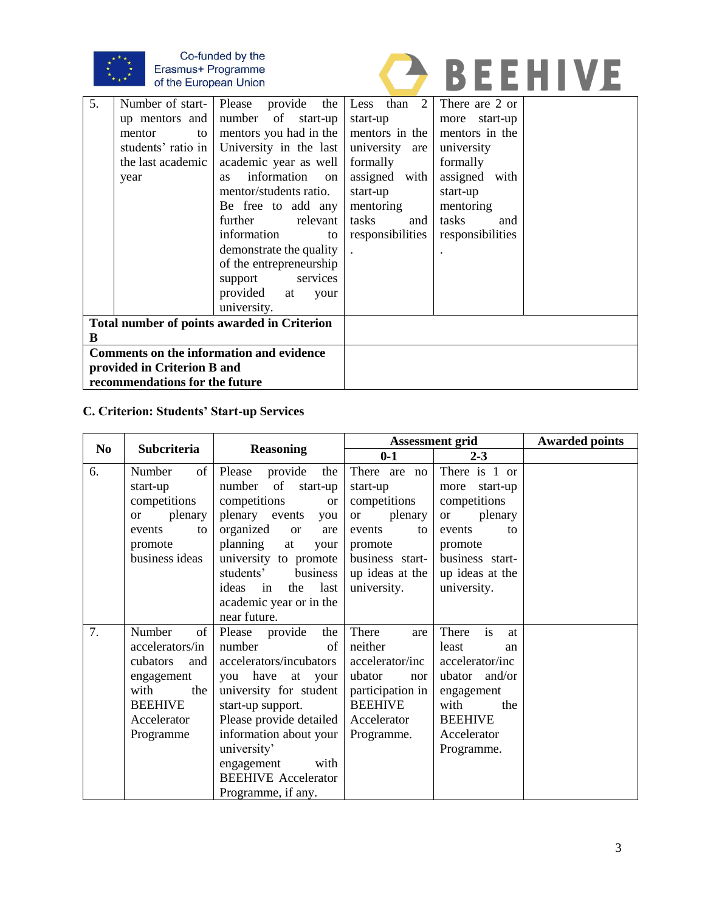

# Co-funded by the<br>Erasmus+ Programme<br>of the European Union



| 5.                                          | Number of start- Please | provide the                    | Less than 2      | There are 2 or   |  |
|---------------------------------------------|-------------------------|--------------------------------|------------------|------------------|--|
|                                             | up mentors and          | number of start-up             | start-up         | more start-up    |  |
|                                             | mentor<br>to            | mentors you had in the         | mentors in the   | mentors in the   |  |
|                                             | students' ratio in      | University in the last         | university are   | university       |  |
|                                             | the last academic       | academic year as well          | formally         | formally         |  |
|                                             | year                    | information<br>on<br><b>as</b> | assigned with    | assigned with    |  |
|                                             |                         | mentor/students ratio.         | start-up         | start-up         |  |
|                                             |                         | Be free to add any             | mentoring        | mentoring        |  |
|                                             |                         | further<br>relevant            | tasks<br>and     | tasks<br>and     |  |
|                                             |                         | information<br>to              | responsibilities | responsibilities |  |
|                                             |                         | demonstrate the quality        |                  |                  |  |
|                                             |                         | of the entrepreneurship        |                  |                  |  |
|                                             |                         | support services               |                  |                  |  |
|                                             |                         | provided at<br>your            |                  |                  |  |
|                                             |                         | university.                    |                  |                  |  |
| Total number of points awarded in Criterion |                         |                                |                  |                  |  |
| B                                           |                         |                                |                  |                  |  |
| Comments on the information and evidence    |                         |                                |                  |                  |  |
| provided in Criterion B and                 |                         |                                |                  |                  |  |
| recommendations for the future              |                         |                                |                  |                  |  |

# **C. Criterion: Students' Start-up Services**

|    | N <sub>0</sub><br>Subcriteria | <b>Reasoning</b>                  | Assessment grid      | <b>Awarded points</b> |  |
|----|-------------------------------|-----------------------------------|----------------------|-----------------------|--|
|    |                               |                                   | $0-1$                | $2 - 3$               |  |
| 6. | Number<br>of                  | Please<br>provide<br>the          | There are no         | There is 1 or         |  |
|    | start-up                      | number of start-up                | start-up             | more<br>start-up      |  |
|    | competitions                  | competitions<br><b>or</b>         | competitions         | competitions          |  |
|    | plenary<br><sub>or</sub>      | plenary events<br>you             | plenary<br><b>or</b> | plenary<br><b>or</b>  |  |
|    | events<br>to                  | organized<br><sub>or</sub><br>are | events<br>to         | events<br>to          |  |
|    | promote                       | planning<br>at<br>your            | promote              | promote               |  |
|    | business ideas                | university to promote             | business start-      | business start-       |  |
|    |                               | students'<br>business             | up ideas at the      | up ideas at the       |  |
|    |                               | ideas in the<br>last              | university.          | university.           |  |
|    |                               | academic year or in the           |                      |                       |  |
|    |                               | near future.                      |                      |                       |  |
| 7. | Number<br>of                  | Please provide<br>the             | There<br>are         | There<br>is<br>at     |  |
|    | accelerators/in               | number<br>of                      | neither              | least<br>an           |  |
|    | cubators<br>and               | accelerators/incubators           | accelerator/inc      | accelerator/inc       |  |
|    | engagement                    | you have at your                  | ubator<br>nor        | ubator and/or         |  |
|    | with<br>the                   | university for student            | participation in     | engagement            |  |
|    | <b>BEEHIVE</b>                | start-up support.                 | <b>BEEHIVE</b>       | with<br>the           |  |
|    | Accelerator                   | Please provide detailed           | Accelerator          | <b>BEEHIVE</b>        |  |
|    | Programme                     | information about your            | Programme.           | Accelerator           |  |
|    |                               | university'                       |                      | Programme.            |  |
|    |                               | with<br>engagement                |                      |                       |  |
|    |                               | <b>BEEHIVE Accelerator</b>        |                      |                       |  |
|    |                               | Programme, if any.                |                      |                       |  |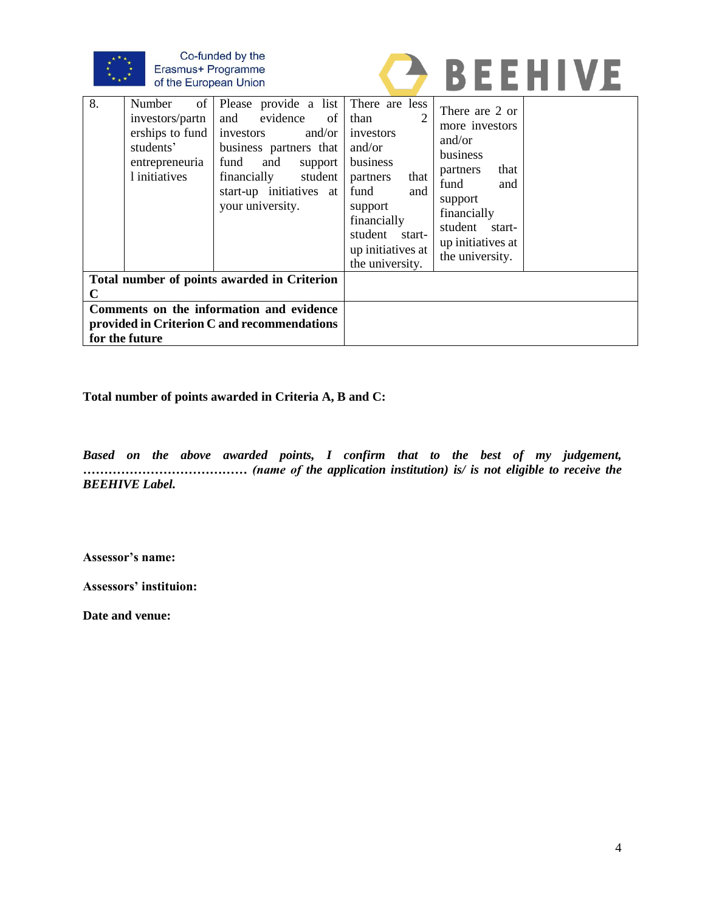



| 8.                                                                                                        | of  <br>Number<br>investors/partn<br>erships to fund<br>students'<br>entrepreneuria<br>1 initiatives | Please provide a list There are less<br>evidence of<br>and<br>and/or<br>investors<br>business partners that<br>fund<br>and<br>support<br>student<br>financially<br>start-up initiatives at<br>your university. | than<br>investors<br>and/or<br>business<br>partners<br>that<br>fund<br>and<br>support<br>financially<br>student<br>start-<br>up initiatives at<br>the university. | There are 2 or<br>more investors<br>and/or<br>business<br>that<br>partners<br>fund<br>and<br>support<br>financially<br>student start-<br>up initiatives at<br>the university. |  |
|-----------------------------------------------------------------------------------------------------------|------------------------------------------------------------------------------------------------------|----------------------------------------------------------------------------------------------------------------------------------------------------------------------------------------------------------------|-------------------------------------------------------------------------------------------------------------------------------------------------------------------|-------------------------------------------------------------------------------------------------------------------------------------------------------------------------------|--|
| Total number of points awarded in Criterion<br>C                                                          |                                                                                                      |                                                                                                                                                                                                                |                                                                                                                                                                   |                                                                                                                                                                               |  |
| Comments on the information and evidence<br>provided in Criterion C and recommendations<br>for the future |                                                                                                      |                                                                                                                                                                                                                |                                                                                                                                                                   |                                                                                                                                                                               |  |

**Total number of points awarded in Criteria A, B and C:**

*Based on the above awarded points, I confirm that to the best of my judgement, ………………………………… (name of the application institution) is/ is not eligible to receive the BEEHIVE Label.*

**Assessor's name:**

**Assessors' instituion:**

**Date and venue:**